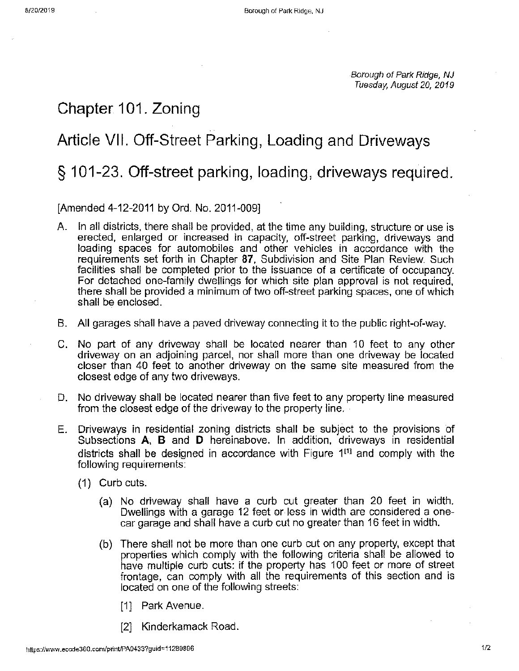Borough of Park Ridge, NJ Tuesday, August 20, 2019

## **Chapter 101. Zoning**

# **Article VII. Off-Street Parking, Loading and Driveways**

# § **101-23. Off-street parking, loading, driveways required.**

### [Amended 4-12-2011 by Ord. No. 2011-009]

- A. In all districts, there shall be provided, at the time any building, structure or use is erected, enlarged or increased in capacity, off-street parking, driveways and loading spaces for automobiles and other vehicles in accordance with the requirements set forth in Chapter **87,** Subdivision and Site Plan Review. Such facilities shall be completed prior to the issuance of a certificate of occupancy. For detached one-family dwellings for which site plan approval is not required, there shall be provided a minimum of two off-street parking spaces, one of which shall be enclosed.
- B. All garages shall have a paved driveway connecting it to the public right-of-way.
- C. No part of any driveway shall be located nearer than 10 feet to any other driveway on an adjoining parcel, nor shall more than one driveway be located closer than 40 feet to another driveway on the same site measured from the closest edge of any two driveways.
- D. No driveway shall be located nearer than five feet to any property line measured from the closest edge of the driveway to the property line.
- **E.** Driveways in residential zoning districts shall be subject to the provisions of Subsections **A, B** and **D** hereinabove. In addition, driveways in residential districts shall be designed in accordance with Figure 1<sup>[1]</sup> and comply with the following requirements:
	- (1) Curb cuts.
		- (a) No driveway shall have a curb cut greater than 20 feet in width. Dwellings with a garage 12 feet or less in width are considered a onecar garage and shall have a curb cut no greater than 16 feet in width.
		- (b) There shall not be more than one curb cut on any property, except that properties which comply with the following criteria shall be allowed to have multiple curb cuts: if the property has 100 feet or more of street frontage, can comply with all the requirements of this section and is located on one of the following streets:
			- [1] Park Avenue.
			- [2] Kinderkamack Road.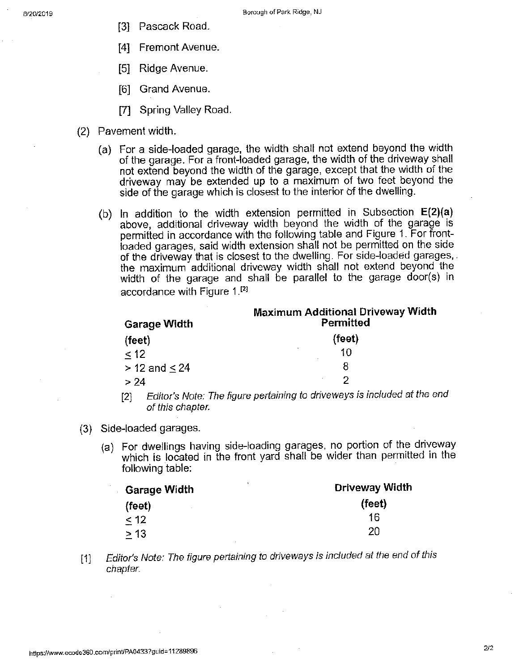- [3] Pascack Road.
- [4] Fremont Avenue.
- [5] Ridge Avenue.
- [6] Grand Avenue.
- [7] Spring Valley Road.
- (2) Pavement width.
	- (a) For a side-loaded garage, the width shall not extend beyond the width of the garage. For a front-loaded garage, the width of the driveway shall not extend beyond the width of the garage, except that the width of the driveway may be extended up to a maximum of two feet beyond the side of the garage which is closest to the interior bf the dwelling.
	- (b) In addition to the width extension permitted in Subsection **E(2)(a)**  above, additional driveway width beyond the width of the garage is permitted in accordance with the following table and Figure 1. For frontloaded garages, said width extension shall not be permitted on the side of the driveway that is closest to the dwelling. For side-loaded garages,. the maximum additional driveway width shall not extend beyond the width of the garage and shall be parallel to the garage door(s) in accordance with Figure  $1.^{[2]}$

| <b>Garage Width</b>  | <b>Maximum Additional Driveway Width</b><br>Permitted |
|----------------------|-------------------------------------------------------|
| (feet)               | (feet)                                                |
| < 12                 | 10                                                    |
| $> 12$ and $\leq 24$ | 8                                                     |
| > 24                 | っ                                                     |

- [2] Editor's Note: The figure pertaining to driveways is included at the end of this chapter.
- (3) Side-loaded garages.
	- (a) For dwellings having side-loading garages, no portion of the driveway which is located in the front yard shall be wider than permitted in the following table:

| <b>Garage Width</b> | Driveway Width |
|---------------------|----------------|
| (feet)<br>$\sim$    | (feet)         |
| < 12                | 16             |
| > 13                | 20             |

[1] Editor's Note: The figure pertaining to driveways is included at the end of this chapter.